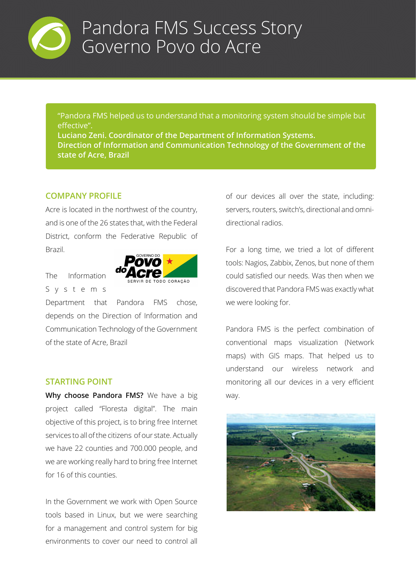

"Pandora FMS helped us to understand that a monitoring system should be simple but effective".

**Luciano Zeni. Coordinator of the Department of Information Systems. Direction of Information and Communication Technology of the Government of the state of Acre, Brazil**

### **COMPANY PROFILE**

Acre is located in the northwest of the country, and is one of the 26 states that, with the Federal District, conform the Federative Republic of Brazil.

### The Information S y s t e m s



Department that Pandora FMS chose, depends on the Direction of Information and Communication Technology of the Government of the state of Acre, Brazil

### **STARTING POINT**

**Why choose Pandora FMS?** We have a big project called "Floresta digital". The main objective of this project, is to bring free Internet services to all of the citizens of our state. Actually we have 22 counties and 700.000 people, and we are working really hard to bring free Internet for 16 of this counties.

In the Government we work with Open Source tools based in Linux, but we were searching for a management and control system for big environments to cover our need to control all

of our devices all over the state, including: servers, routers, switch's, directional and omnidirectional radios.

For a long time, we tried a lot of different tools: Nagios, Zabbix, Zenos, but none of them could satisfied our needs. Was then when we discovered that Pandora FMS was exactly what we were looking for.

Pandora FMS is the perfect combination of conventional maps visualization (Network maps) with GIS maps. That helped us to understand our wireless network and monitoring all our devices in a very efficient way.

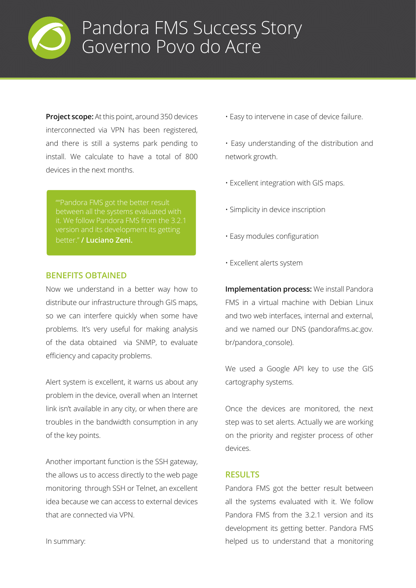

**Project scope:** At this point, around 350 devices interconnected via VPN has been registered, and there is still a systems park pending to install. We calculate to have a total of 800 devices in the next months.

better." **/ Luciano Zeni.**

#### **BENEFITS OBTAINED**

Now we understand in a better way how to distribute our infrastructure through GIS maps, so we can interfere quickly when some have problems. It's very useful for making analysis of the data obtained via SNMP, to evaluate efficiency and capacity problems.

Alert system is excellent, it warns us about any problem in the device, overall when an Internet link isn't available in any city, or when there are troubles in the bandwidth consumption in any of the key points.

Another important function is the SSH gateway, the allows us to access directly to the web page monitoring through SSH or Telnet, an excellent idea because we can access to external devices that are connected via VPN.

- Easy to intervene in case of device failure.
- Easy understanding of the distribution and network growth.
- Excellent integration with GIS maps.
- Simplicity in device inscription
- Easy modules configuration
- Excellent alerts system

**Implementation process:** We install Pandora FMS in a virtual machine with Debian Linux and two web interfaces, internal and external, and we named our DNS (pandorafms.ac.gov. br/pandora\_console).

We used a Google API key to use the GIS cartography systems.

Once the devices are monitored, the next step was to set alerts. Actually we are working on the priority and register process of other devices.

#### **RESULTS**

Pandora FMS got the better result between all the systems evaluated with it. We follow Pandora FMS from the 3.2.1 version and its development its getting better. Pandora FMS helped us to understand that a monitoring

In summary: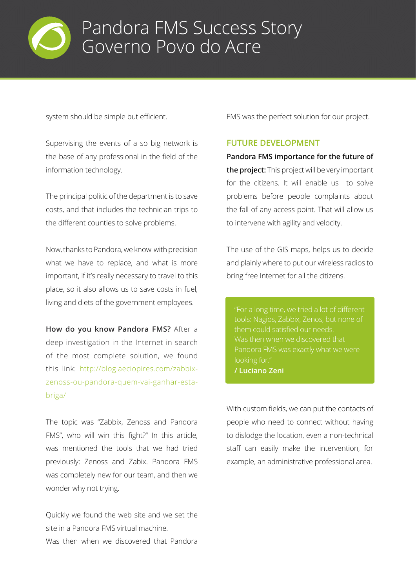

system should be simple but efficient.

Supervising the events of a so big network is the base of any professional in the field of the information technology.

The principal politic of the department is to save costs, and that includes the technician trips to the different counties to solve problems.

Now, thanks to Pandora, we know with precision what we have to replace, and what is more important, if it's really necessary to travel to this place, so it also allows us to save costs in fuel, living and diets of the government employees.

**How do you know Pandora FMS?** After a deep investigation in the Internet in search of the most complete solution, we found this link: http://blog.aeciopires.com/zabbixzenoss-ou-pandora-quem-vai-ganhar-estabriga/

The topic was "Zabbix, Zenoss and Pandora FMS", who will win this fight?" In this article, was mentioned the tools that we had tried previously: Zenoss and Zabix. Pandora FMS was completely new for our team, and then we wonder why not trying.

Quickly we found the web site and we set the site in a Pandora FMS virtual machine. Was then when we discovered that Pandora

FMS was the perfect solution for our project.

### **FUTURE DEVELOPMENT**

**Pandora FMS importance for the future of the project:** This project will be very important for the citizens. It will enable us to solve problems before people complaints about the fall of any access point. That will allow us to intervene with agility and velocity.

The use of the GIS maps, helps us to decide and plainly where to put our wireless radios to bring free Internet for all the citizens.

tools: Nagios, Zabbix, Zenos, but none of them could satisfied our needs. **/ Luciano Zeni**

With custom fields, we can put the contacts of people who need to connect without having to dislodge the location, even a non-technical staff can easily make the intervention, for example, an administrative professional area.